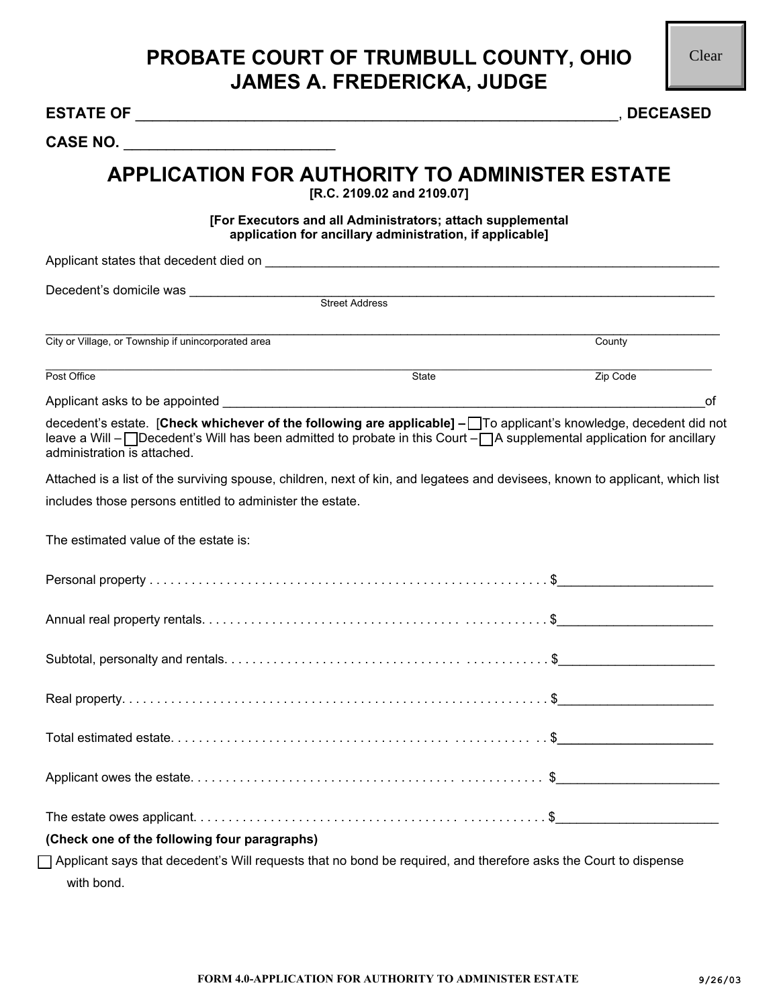| CASE NO.                                                                                                                                                                                                                                                                   |                                                                                                                        |          |    |
|----------------------------------------------------------------------------------------------------------------------------------------------------------------------------------------------------------------------------------------------------------------------------|------------------------------------------------------------------------------------------------------------------------|----------|----|
| <b>APPLICATION FOR AUTHORITY TO ADMINISTER ESTATE</b>                                                                                                                                                                                                                      | [R.C. 2109.02 and 2109.07]                                                                                             |          |    |
|                                                                                                                                                                                                                                                                            | [For Executors and all Administrators; attach supplemental<br>application for ancillary administration, if applicable] |          |    |
|                                                                                                                                                                                                                                                                            |                                                                                                                        |          |    |
|                                                                                                                                                                                                                                                                            |                                                                                                                        |          |    |
|                                                                                                                                                                                                                                                                            |                                                                                                                        |          |    |
| City or Village, or Township if unincorporated area                                                                                                                                                                                                                        |                                                                                                                        | County   |    |
| Post Office                                                                                                                                                                                                                                                                | State                                                                                                                  | Zip Code |    |
|                                                                                                                                                                                                                                                                            |                                                                                                                        |          | оf |
| decedent's estate. [Check whichever of the following are applicable] - To applicant's knowledge, decedent did not<br>leave a Will - ODecedent's Will has been admitted to probate in this Court - OA supplemental application for ancillary<br>administration is attached. |                                                                                                                        |          |    |
| Attached is a list of the surviving spouse, children, next of kin, and legatees and devisees, known to applicant, which list                                                                                                                                               |                                                                                                                        |          |    |
| includes those persons entitled to administer the estate.                                                                                                                                                                                                                  |                                                                                                                        |          |    |
| The estimated value of the estate is:                                                                                                                                                                                                                                      |                                                                                                                        |          |    |
|                                                                                                                                                                                                                                                                            |                                                                                                                        |          |    |
|                                                                                                                                                                                                                                                                            |                                                                                                                        |          |    |
|                                                                                                                                                                                                                                                                            |                                                                                                                        |          |    |
|                                                                                                                                                                                                                                                                            |                                                                                                                        |          |    |
|                                                                                                                                                                                                                                                                            |                                                                                                                        |          |    |
|                                                                                                                                                                                                                                                                            |                                                                                                                        |          |    |
|                                                                                                                                                                                                                                                                            |                                                                                                                        |          |    |
| (Check one of the following four paragraphs)                                                                                                                                                                                                                               |                                                                                                                        |          |    |
| $\Box$ Applicant says that decedent's Will requests that no bond be required, and therefore asks the Court to dispense<br>with bond.                                                                                                                                       |                                                                                                                        |          |    |
|                                                                                                                                                                                                                                                                            |                                                                                                                        |          |    |
|                                                                                                                                                                                                                                                                            |                                                                                                                        |          |    |
|                                                                                                                                                                                                                                                                            |                                                                                                                        |          |    |